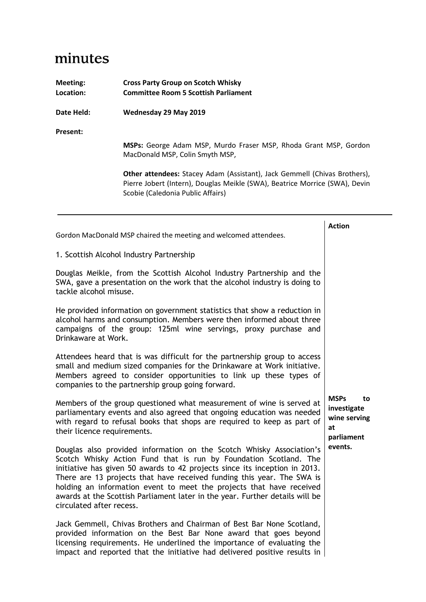## minutes

| Meeting:<br>Location: | <b>Cross Party Group on Scotch Whisky</b><br><b>Committee Room 5 Scottish Parliament</b>                                                                                                      |
|-----------------------|-----------------------------------------------------------------------------------------------------------------------------------------------------------------------------------------------|
| Date Held:            | Wednesday 29 May 2019                                                                                                                                                                         |
| Present:              |                                                                                                                                                                                               |
|                       | MSPs: George Adam MSP, Murdo Fraser MSP, Rhoda Grant MSP, Gordon<br>MacDonald MSP, Colin Smyth MSP,                                                                                           |
|                       | Other attendees: Stacey Adam (Assistant), Jack Gemmell (Chivas Brothers),<br>Pierre Jobert (Intern), Douglas Meikle (SWA), Beatrice Morrice (SWA), Devin<br>Scobie (Caledonia Public Affairs) |
|                       | <b>Action</b><br>Gordon MacDonald MSP chaired the meeting and welcomed attendees.                                                                                                             |

1. Scottish Alcohol Industry Partnership

Douglas Meikle, from the Scottish Alcohol Industry Partnership and the SWA, gave a presentation on the work that the alcohol industry is doing to tackle alcohol misuse.

He provided information on government statistics that show a reduction in alcohol harms and consumption. Members were then informed about three campaigns of the group: 125ml wine servings, proxy purchase and Drinkaware at Work.

Attendees heard that is was difficult for the partnership group to access small and medium sized companies for the Drinkaware at Work initiative. Members agreed to consider opportunities to link up these types of companies to the partnership group going forward.

Members of the group questioned what measurement of wine is served at parliamentary events and also agreed that ongoing education was needed with regard to refusal books that shops are required to keep as part of their licence requirements.

Douglas also provided information on the Scotch Whisky Association's Scotch Whisky Action Fund that is run by Foundation Scotland. The initiative has given 50 awards to 42 projects since its inception in 2013. There are 13 projects that have received funding this year. The SWA is holding an information event to meet the projects that have received awards at the Scottish Parliament later in the year. Further details will be circulated after recess.

Jack Gemmell, Chivas Brothers and Chairman of Best Bar None Scotland, provided information on the Best Bar None award that goes beyond licensing requirements. He underlined the importance of evaluating the impact and reported that the initiative had delivered positive results in

**MSPs to investigate wine serving at parliament events.**